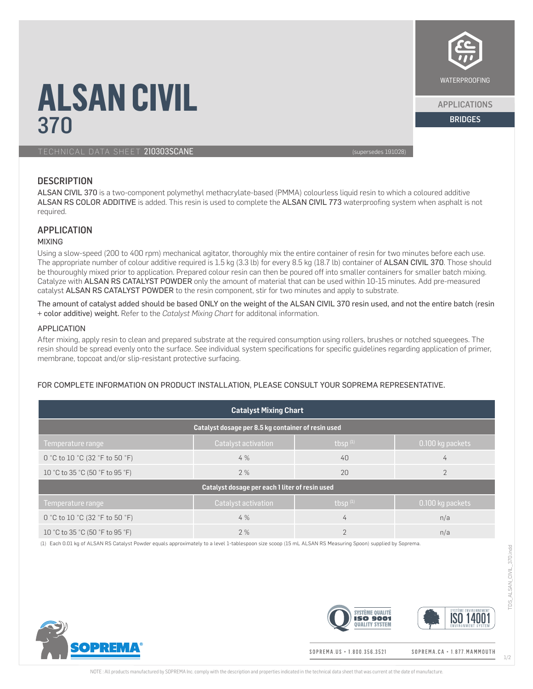# WATERPROOFING

APPLICATIONS

# **ALSAN CIVIL**<br>370 370 BRIDGES AND RESIDENCE AND RESIDENCE AND RESIDENCE AND RESIDENCE AND RESIDENCE AND RESIDENCE AND RESIDENCE

### TECHNICAL DATA SHEET 210303SCANE (supersedes 191028)

# **DESCRIPTION**

ALSAN CIVIL 370 is a two-component polymethyl methacrylate-based (PMMA) colourless liquid resin to which a coloured additive ALSAN RS COLOR ADDITIVE is added. This resin is used to complete the ALSAN CIVIL 773 waterproofing system when asphalt is not required.

# **APPLICATION**

#### MIXING

Using a slow-speed (200 to 400 rpm) mechanical agitator, thoroughly mix the entire container of resin for two minutes before each use. The appropriate number of colour additive required is 1.5 kg (3.3 lb) for every 8.5 kg (18.7 lb) container of ALSAN CIVIL 370. Those should be thouroughly mixed prior to application. Prepared colour resin can then be poured off into smaller containers for smaller batch mixing. Catalyze with ALSAN RS CATALYST POWDER only the amount of material that can be used within 10-15 minutes. Add pre-measured catalyst ALSAN RS CATALYST POWDER to the resin component, stir for two minutes and apply to substrate.

The amount of catalyst added should be based ONLY on the weight of the ALSAN CIVIL 370 resin used, and not the entire batch (resin + color additive) weight. Refer to the *Catalyst Mixing Chart* for additonal information.

#### APPLICATION

After mixing, apply resin to clean and prepared substrate at the required consumption using rollers, brushes or notched squeegees. The resin should be spread evenly onto the surface. See individual system specifications for specific guidelines regarding application of primer, membrane, topcoat and/or slip-resistant protective surfacing.

# FOR COMPLETE INFORMATION ON PRODUCT INSTALLATION, PLEASE CONSULT YOUR SOPREMA REPRESENTATIVE.

| <b>Catalyst Mixing Chart</b>                       |                     |               |                  |  |
|----------------------------------------------------|---------------------|---------------|------------------|--|
| Catalyst dosage per 8.5 kg container of resin used |                     |               |                  |  |
| Temperature range                                  | Catalyst activation | thsp $(1)$    | 0.100 kg packets |  |
| 0 °C to 10 °C (32 °F to 50 °F)                     | 4%                  | 40            | $\overline{4}$   |  |
| 10 °C to 35 °C (50 °F to 95 °F)                    | 2%                  | 20            | $\mathfrak{D}$   |  |
| Catalyst dosage per each 1 liter of resin used     |                     |               |                  |  |
| Temperature range                                  | Catalyst activation | thsp $(1)$    | 0.100 kg packets |  |
| 0 °C to 10 °C (32 °F to 50 °F)                     | 4%                  | 4             | n/a              |  |
| 10 °C to 35 °C (50 °F to 95 °F)                    | 2%                  | $\mathcal{D}$ | n/a              |  |

(1) Each 0.01 kg of ALSAN RS Catalyst Powder equals approximately to a level 1-tablespoon size scoop (15 mL ALSAN RS Measuring Spoon) supplied by Soprema.





1/2

SOPREMA.US · 1.800.356.3521

SOPREMA.CA · 1.877. MAMMOUTH